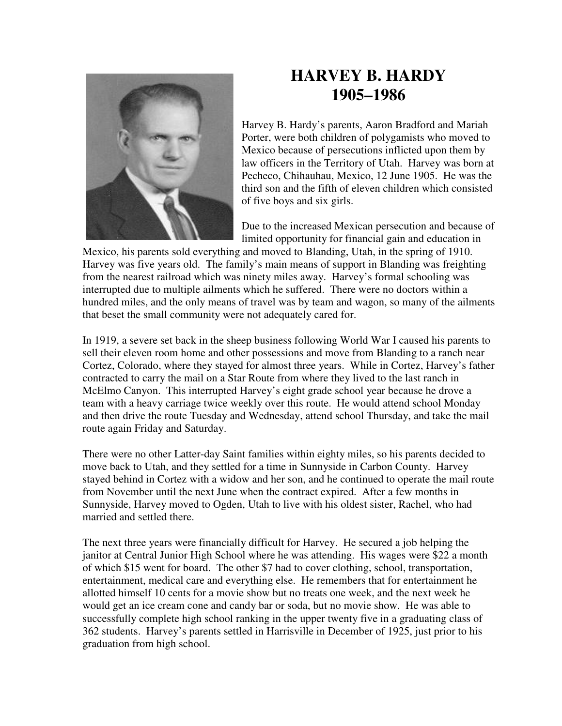

## **HARVEY B. HARDY 1905–1986**

Harvey B. Hardy's parents, Aaron Bradford and Mariah Porter, were both children of polygamists who moved to Mexico because of persecutions inflicted upon them by law officers in the Territory of Utah. Harvey was born at Pecheco, Chihauhau, Mexico, 12 June 1905. He was the third son and the fifth of eleven children which consisted of five boys and six girls.

Due to the increased Mexican persecution and because of limited opportunity for financial gain and education in

Mexico, his parents sold everything and moved to Blanding, Utah, in the spring of 1910. Harvey was five years old. The family's main means of support in Blanding was freighting from the nearest railroad which was ninety miles away. Harvey's formal schooling was interrupted due to multiple ailments which he suffered. There were no doctors within a hundred miles, and the only means of travel was by team and wagon, so many of the ailments that beset the small community were not adequately cared for.

In 1919, a severe set back in the sheep business following World War I caused his parents to sell their eleven room home and other possessions and move from Blanding to a ranch near Cortez, Colorado, where they stayed for almost three years. While in Cortez, Harvey's father contracted to carry the mail on a Star Route from where they lived to the last ranch in McElmo Canyon. This interrupted Harvey's eight grade school year because he drove a team with a heavy carriage twice weekly over this route. He would attend school Monday and then drive the route Tuesday and Wednesday, attend school Thursday, and take the mail route again Friday and Saturday.

There were no other Latter-day Saint families within eighty miles, so his parents decided to move back to Utah, and they settled for a time in Sunnyside in Carbon County. Harvey stayed behind in Cortez with a widow and her son, and he continued to operate the mail route from November until the next June when the contract expired. After a few months in Sunnyside, Harvey moved to Ogden, Utah to live with his oldest sister, Rachel, who had married and settled there.

The next three years were financially difficult for Harvey. He secured a job helping the janitor at Central Junior High School where he was attending. His wages were \$22 a month of which \$15 went for board. The other \$7 had to cover clothing, school, transportation, entertainment, medical care and everything else. He remembers that for entertainment he allotted himself 10 cents for a movie show but no treats one week, and the next week he would get an ice cream cone and candy bar or soda, but no movie show. He was able to successfully complete high school ranking in the upper twenty five in a graduating class of 362 students. Harvey's parents settled in Harrisville in December of 1925, just prior to his graduation from high school.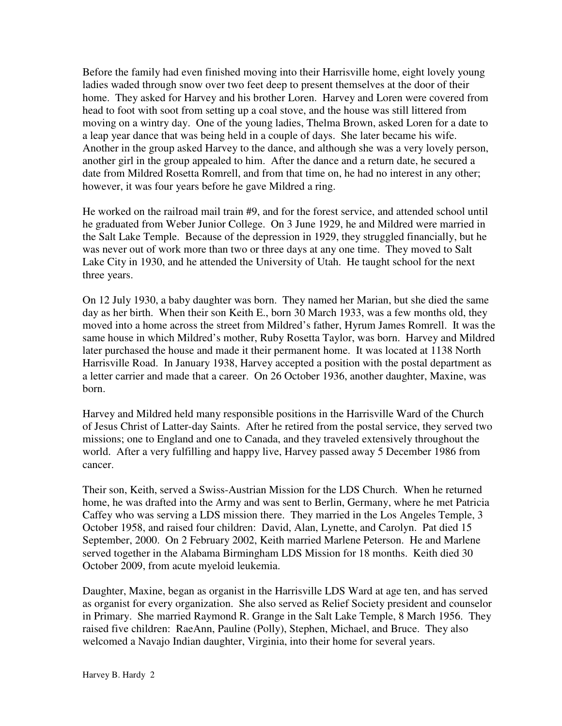Before the family had even finished moving into their Harrisville home, eight lovely young ladies waded through snow over two feet deep to present themselves at the door of their home. They asked for Harvey and his brother Loren. Harvey and Loren were covered from head to foot with soot from setting up a coal stove, and the house was still littered from moving on a wintry day. One of the young ladies, Thelma Brown, asked Loren for a date to a leap year dance that was being held in a couple of days. She later became his wife. Another in the group asked Harvey to the dance, and although she was a very lovely person, another girl in the group appealed to him. After the dance and a return date, he secured a date from Mildred Rosetta Romrell, and from that time on, he had no interest in any other; however, it was four years before he gave Mildred a ring.

He worked on the railroad mail train #9, and for the forest service, and attended school until he graduated from Weber Junior College. On 3 June 1929, he and Mildred were married in the Salt Lake Temple. Because of the depression in 1929, they struggled financially, but he was never out of work more than two or three days at any one time. They moved to Salt Lake City in 1930, and he attended the University of Utah. He taught school for the next three years.

On 12 July 1930, a baby daughter was born. They named her Marian, but she died the same day as her birth. When their son Keith E., born 30 March 1933, was a few months old, they moved into a home across the street from Mildred's father, Hyrum James Romrell. It was the same house in which Mildred's mother, Ruby Rosetta Taylor, was born. Harvey and Mildred later purchased the house and made it their permanent home. It was located at 1138 North Harrisville Road. In January 1938, Harvey accepted a position with the postal department as a letter carrier and made that a career. On 26 October 1936, another daughter, Maxine, was born.

Harvey and Mildred held many responsible positions in the Harrisville Ward of the Church of Jesus Christ of Latter-day Saints. After he retired from the postal service, they served two missions; one to England and one to Canada, and they traveled extensively throughout the world. After a very fulfilling and happy live, Harvey passed away 5 December 1986 from cancer.

Their son, Keith, served a Swiss-Austrian Mission for the LDS Church. When he returned home, he was drafted into the Army and was sent to Berlin, Germany, where he met Patricia Caffey who was serving a LDS mission there. They married in the Los Angeles Temple, 3 October 1958, and raised four children: David, Alan, Lynette, and Carolyn. Pat died 15 September, 2000. On 2 February 2002, Keith married Marlene Peterson. He and Marlene served together in the Alabama Birmingham LDS Mission for 18 months. Keith died 30 October 2009, from acute myeloid leukemia.

Daughter, Maxine, began as organist in the Harrisville LDS Ward at age ten, and has served as organist for every organization. She also served as Relief Society president and counselor in Primary. She married Raymond R. Grange in the Salt Lake Temple, 8 March 1956. They raised five children: RaeAnn, Pauline (Polly), Stephen, Michael, and Bruce. They also welcomed a Navajo Indian daughter, Virginia, into their home for several years.